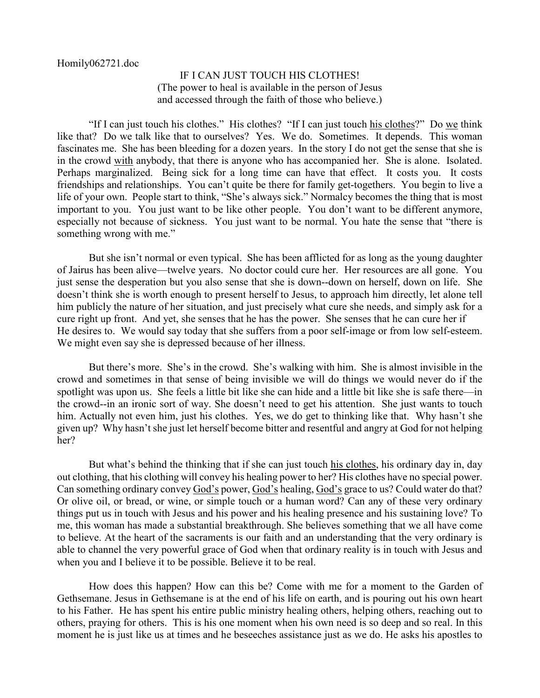## IF I CAN JUST TOUCH HIS CLOTHES! (The power to heal is available in the person of Jesus and accessed through the faith of those who believe.)

"If I can just touch his clothes." His clothes? "If I can just touch his clothes?" Do we think like that? Do we talk like that to ourselves? Yes. We do. Sometimes. It depends. This woman fascinates me. She has been bleeding for a dozen years. In the story I do not get the sense that she is in the crowd with anybody, that there is anyone who has accompanied her. She is alone. Isolated. Perhaps marginalized. Being sick for a long time can have that effect. It costs you. It costs friendships and relationships. You can't quite be there for family get-togethers. You begin to live a life of your own. People start to think, "She's always sick." Normalcy becomes the thing that is most important to you. You just want to be like other people. You don't want to be different anymore, especially not because of sickness. You just want to be normal. You hate the sense that "there is something wrong with me."

But she isn't normal or even typical. She has been afflicted for as long as the young daughter of Jairus has been alive—twelve years. No doctor could cure her. Her resources are all gone. You just sense the desperation but you also sense that she is down--down on herself, down on life. She doesn't think she is worth enough to present herself to Jesus, to approach him directly, let alone tell him publicly the nature of her situation, and just precisely what cure she needs, and simply ask for a cure right up front. And yet, she senses that he has the power. She senses that he can cure her if He desires to. We would say today that she suffers from a poor self-image or from low self-esteem. We might even say she is depressed because of her illness.

But there's more. She's in the crowd. She's walking with him. She is almost invisible in the crowd and sometimes in that sense of being invisible we will do things we would never do if the spotlight was upon us. She feels a little bit like she can hide and a little bit like she is safe there—in the crowd--in an ironic sort of way. She doesn't need to get his attention. She just wants to touch him. Actually not even him, just his clothes. Yes, we do get to thinking like that. Why hasn't she given up? Why hasn't she just let herself become bitter and resentful and angry at God for not helping her?

But what's behind the thinking that if she can just touch his clothes, his ordinary day in, day out clothing, that his clothing will convey his healing power to her? His clothes have no special power. Can something ordinary convey God's power, God's healing, God's grace to us? Could water do that? Or olive oil, or bread, or wine, or simple touch or a human word? Can any of these very ordinary things put us in touch with Jesus and his power and his healing presence and his sustaining love? To me, this woman has made a substantial breakthrough. She believes something that we all have come to believe. At the heart of the sacraments is our faith and an understanding that the very ordinary is able to channel the very powerful grace of God when that ordinary reality is in touch with Jesus and when you and I believe it to be possible. Believe it to be real.

How does this happen? How can this be? Come with me for a moment to the Garden of Gethsemane. Jesus in Gethsemane is at the end of his life on earth, and is pouring out his own heart to his Father. He has spent his entire public ministry healing others, helping others, reaching out to others, praying for others. This is his one moment when his own need is so deep and so real. In this moment he is just like us at times and he beseeches assistance just as we do. He asks his apostles to